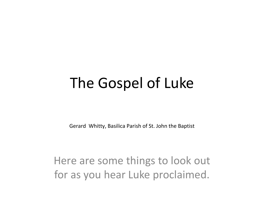### The Gospel of Luke

Gerard Whitty, Basilica Parish of St. John the Baptist

Here are some things to look out for as you hear Luke proclaimed.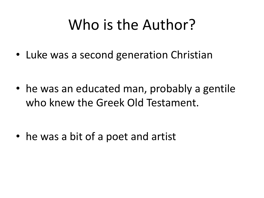## Who is the Author?

• Luke was a second generation Christian

• he was an educated man, probably a gentile who knew the Greek Old Testament.

• he was a bit of a poet and artist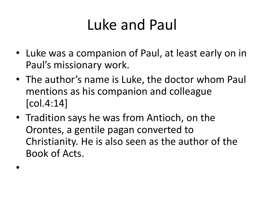# Luke and Paul

- Luke was a companion of Paul, at least early on in Paul's missionary work.
- The author's name is Luke, the doctor whom Paul mentions as his companion and colleague [col.4:14]
- Tradition says he was from Antioch, on the Orontes, a gentile pagan converted to Christianity. He is also seen as the author of the Book of Acts.

•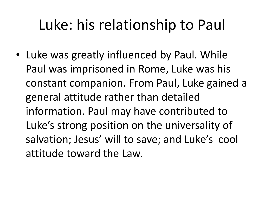# Luke: his relationship to Paul

• Luke was greatly influenced by Paul. While Paul was imprisoned in Rome, Luke was his constant companion. From Paul, Luke gained a general attitude rather than detailed information. Paul may have contributed to Luke's strong position on the universality of salvation; Jesus' will to save; and Luke's cool attitude toward the Law.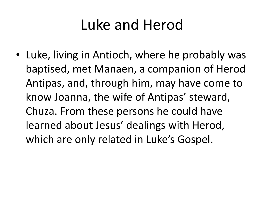# Luke and Herod

• Luke, living in Antioch, where he probably was baptised, met Manaen, a companion of Herod Antipas, and, through him, may have come to know Joanna, the wife of Antipas' steward, Chuza. From these persons he could have learned about Jesus' dealings with Herod, which are only related in Luke's Gospel.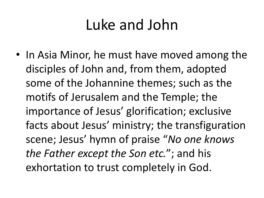### Luke and John

• In Asia Minor, he must have moved among the disciples of John and, from them, adopted some of the Johannine themes; such as the motifs of Jerusalem and the Temple; the importance of Jesus' glorification; exclusive facts about Jesus' ministry; the transfiguration scene; Jesus' hymn of praise "*No one knows the Father except the Son etc.*"; and his exhortation to trust completely in God.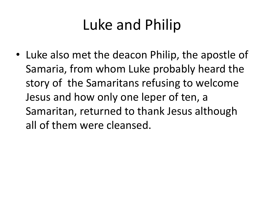# Luke and Philip

• Luke also met the deacon Philip, the apostle of Samaria, from whom Luke probably heard the story of the Samaritans refusing to welcome Jesus and how only one leper of ten, a Samaritan, returned to thank Jesus although all of them were cleansed.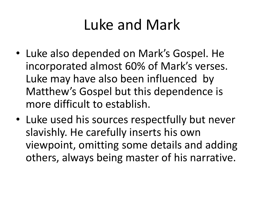## Luke and Mark

- Luke also depended on Mark's Gospel. He incorporated almost 60% of Mark's verses. Luke may have also been influenced by Matthew's Gospel but this dependence is more difficult to establish.
- Luke used his sources respectfully but never slavishly. He carefully inserts his own viewpoint, omitting some details and adding others, always being master of his narrative.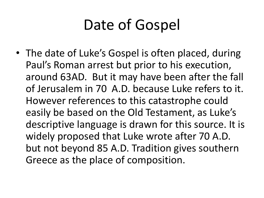# Date of Gospel

• The date of Luke's Gospel is often placed, during Paul's Roman arrest but prior to his execution, around 63AD. But it may have been after the fall of Jerusalem in 70 A.D. because Luke refers to it. However references to this catastrophe could easily be based on the Old Testament, as Luke's descriptive language is drawn for this source. It is widely proposed that Luke wrote after 70 A.D. but not beyond 85 A.D. Tradition gives southern Greece as the place of composition.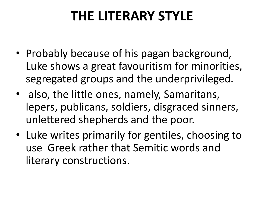### **THE LITERARY STYLE**

- Probably because of his pagan background, Luke shows a great favouritism for minorities, segregated groups and the underprivileged.
- also, the little ones, namely, Samaritans, lepers, publicans, soldiers, disgraced sinners, unlettered shepherds and the poor.
- Luke writes primarily for gentiles, choosing to use Greek rather that Semitic words and literary constructions.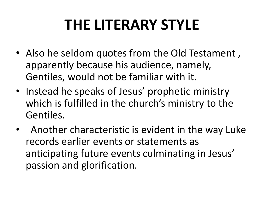# **THE LITERARY STYLE**

- Also he seldom quotes from the Old Testament , apparently because his audience, namely, Gentiles, would not be familiar with it.
- Instead he speaks of Jesus' prophetic ministry which is fulfilled in the church's ministry to the Gentiles.
- Another characteristic is evident in the way Luke records earlier events or statements as anticipating future events culminating in Jesus' passion and glorification.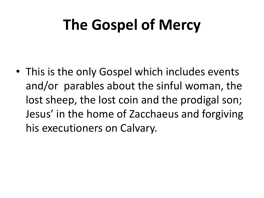# **The Gospel of Mercy**

• This is the only Gospel which includes events and/or parables about the sinful woman, the lost sheep, the lost coin and the prodigal son; Jesus' in the home of Zacchaeus and forgiving his executioners on Calvary.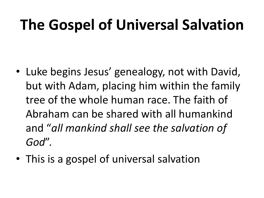# **The Gospel of Universal Salvation**

- Luke begins Jesus' genealogy, not with David, but with Adam, placing him within the family tree of the whole human race. The faith of Abraham can be shared with all humankind and "*all mankind shall see the salvation of God*".
- This is a gospel of universal salvation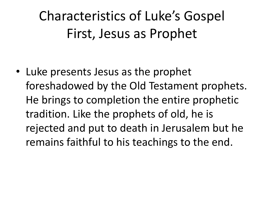Characteristics of Luke's Gospel First, Jesus as Prophet

• Luke presents Jesus as the prophet foreshadowed by the Old Testament prophets. He brings to completion the entire prophetic tradition. Like the prophets of old, he is rejected and put to death in Jerusalem but he remains faithful to his teachings to the end.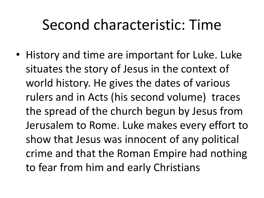### Second characteristic: Time

• History and time are important for Luke. Luke situates the story of Jesus in the context of world history. He gives the dates of various rulers and in Acts (his second volume) traces the spread of the church begun by Jesus from Jerusalem to Rome. Luke makes every effort to show that Jesus was innocent of any political crime and that the Roman Empire had nothing to fear from him and early Christians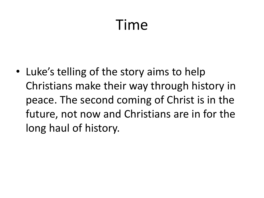## Time

• Luke's telling of the story aims to help Christians make their way through history in peace. The second coming of Christ is in the future, not now and Christians are in for the long haul of history.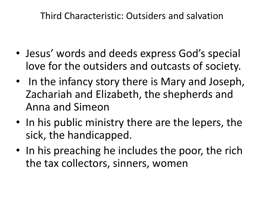Third Characteristic: Outsiders and salvation

- Jesus' words and deeds express God's special love for the outsiders and outcasts of society.
- In the infancy story there is Mary and Joseph, Zachariah and Elizabeth, the shepherds and Anna and Simeon
- In his public ministry there are the lepers, the sick, the handicapped.
- In his preaching he includes the poor, the rich the tax collectors, sinners, women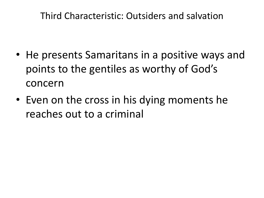Third Characteristic: Outsiders and salvation

- He presents Samaritans in a positive ways and points to the gentiles as worthy of God's concern
- Even on the cross in his dying moments he reaches out to a criminal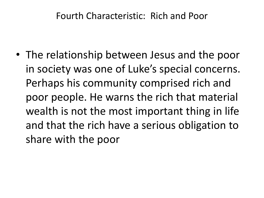#### Fourth Characteristic: Rich and Poor

• The relationship between Jesus and the poor in society was one of Luke's special concerns. Perhaps his community comprised rich and poor people. He warns the rich that material wealth is not the most important thing in life and that the rich have a serious obligation to share with the poor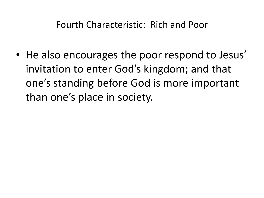Fourth Characteristic: Rich and Poor

• He also encourages the poor respond to Jesus' invitation to enter God's kingdom; and that one's standing before God is more important than one's place in society.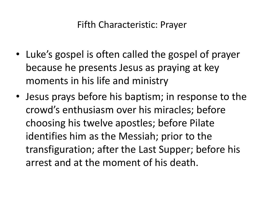#### Fifth Characteristic: Prayer

- Luke's gospel is often called the gospel of prayer because he presents Jesus as praying at key moments in his life and ministry
- Jesus prays before his baptism; in response to the crowd's enthusiasm over his miracles; before choosing his twelve apostles; before Pilate identifies him as the Messiah; prior to the transfiguration; after the Last Supper; before his arrest and at the moment of his death.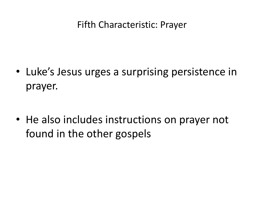#### Fifth Characteristic: Prayer

• Luke's Jesus urges a surprising persistence in prayer.

• He also includes instructions on prayer not found in the other gospels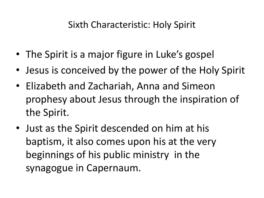#### Sixth Characteristic: Holy Spirit

- The Spirit is a major figure in Luke's gospel
- Jesus is conceived by the power of the Holy Spirit
- Elizabeth and Zachariah, Anna and Simeon prophesy about Jesus through the inspiration of the Spirit.
- Just as the Spirit descended on him at his baptism, it also comes upon his at the very beginnings of his public ministry in the synagogue in Capernaum.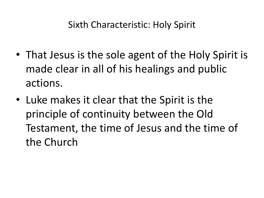- That Jesus is the sole agent of the Holy Spirit is made clear in all of his healings and public actions.
- Luke makes it clear that the Spirit is the principle of continuity between the Old Testament, the time of Jesus and the time of the Church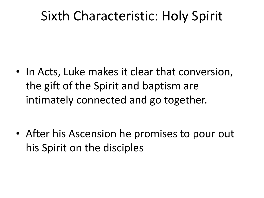### Sixth Characteristic: Holy Spirit

• In Acts, Luke makes it clear that conversion, the gift of the Spirit and baptism are intimately connected and go together.

• After his Ascension he promises to pour out his Spirit on the disciples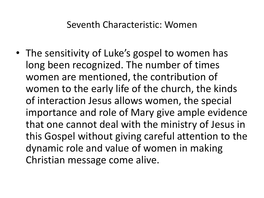• The sensitivity of Luke's gospel to women has long been recognized. The number of times women are mentioned, the contribution of women to the early life of the church, the kinds of interaction Jesus allows women, the special importance and role of Mary give ample evidence that one cannot deal with the ministry of Jesus in this Gospel without giving careful attention to the dynamic role and value of women in making Christian message come alive.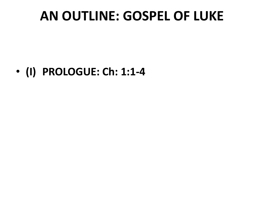### **AN OUTLINE: GOSPEL OF LUKE**

• **(I) PROLOGUE: Ch: 1:1-4**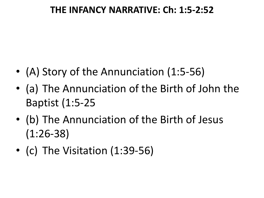#### **THE INFANCY NARRATIVE: Ch: 1:5-2:52**

- (A) Story of the Annunciation (1:5-56)
- (a) The Annunciation of the Birth of John the Baptist (1:5-25
- (b) The Annunciation of the Birth of Jesus (1:26-38)
- (c) The Visitation (1:39-56)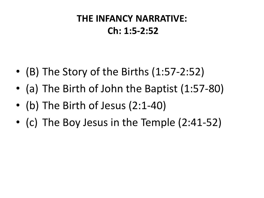### **THE INFANCY NARRATIVE: Ch: 1:5-2:52**

- (B) The Story of the Births (1:57-2:52)
- (a) The Birth of John the Baptist (1:57-80)
- (b) The Birth of Jesus (2:1-40)
- (c) The Boy Jesus in the Temple (2:41-52)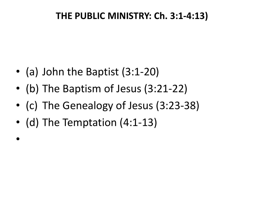#### **THE PUBLIC MINISTRY: Ch. 3:1-4:13)**

- (a) John the Baptist (3:1-20)
- (b) The Baptism of Jesus (3:21-22)
- (c) The Genealogy of Jesus (3:23-38)
- (d) The Temptation (4:1-13)

•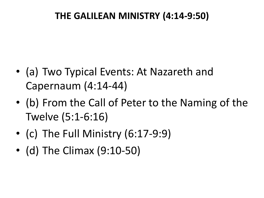#### **THE GALILEAN MINISTRY (4:14-9:50)**

- (a) Two Typical Events: At Nazareth and Capernaum (4:14-44)
- (b) From the Call of Peter to the Naming of the Twelve (5:1-6:16)
- (c) The Full Ministry (6:17-9:9)
- (d) The Climax (9:10-50)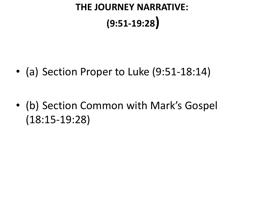### **THE JOURNEY NARRATIVE: (9:51-19:28)**

• (a) Section Proper to Luke (9:51-18:14)

• (b) Section Common with Mark's Gospel (18:15-19:28)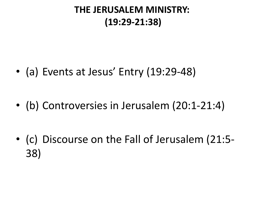#### **THE JERUSALEM MINISTRY: (19:29-21:38)**

• (a) Events at Jesus' Entry (19:29-48)

• (b) Controversies in Jerusalem (20:1-21:4)

• (c) Discourse on the Fall of Jerusalem (21:5- 38)